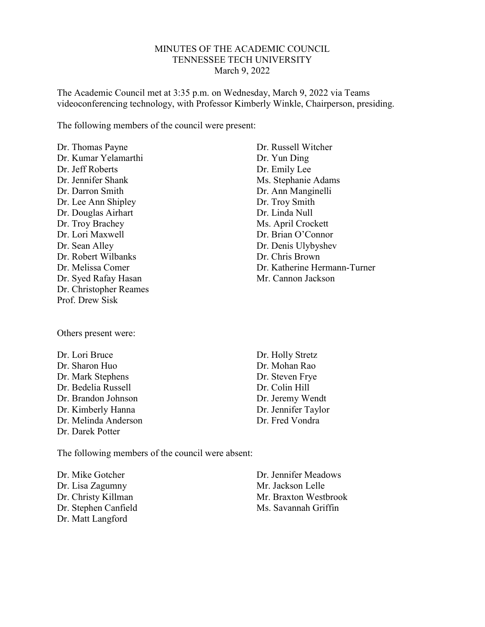#### MINUTES OF THE ACADEMIC COUNCIL TENNESSEE TECH UNIVERSITY March 9, 2022

The Academic Council met at 3:35 p.m. on Wednesday, March 9, 2022 via Teams videoconferencing technology, with Professor Kimberly Winkle, Chairperson, presiding.

The following members of the council were present:

Dr. Thomas Payne Dr. Kumar Yelamarthi Dr. Jeff Roberts Dr. Jennifer Shank Dr. Darron Smith Dr. Lee Ann Shipley Dr. Douglas Airhart Dr. Troy Brachey Dr. Lori Maxwell Dr. Sean Alley Dr. Robert Wilbanks Dr. Melissa Comer Dr. Syed Rafay Hasan Dr. Christopher Reames Prof. Drew Sisk

Others present were:

Dr. Lori Bruce Dr. Sharon Huo Dr. Mark Stephens Dr. Bedelia Russell Dr. Brandon Johnson Dr. Kimberly Hanna Dr. Melinda Anderson Dr. Darek Potter

Dr. Russell Witcher Dr. Yun Ding Dr. Emily Lee Ms. Stephanie Adams Dr. Ann Manginelli Dr. Troy Smith Dr. Linda Null Ms. April Crockett Dr. Brian O'Connor Dr. Denis Ulybyshev Dr. Chris Brown Dr. Katherine Hermann-Turner Mr. Cannon Jackson

Dr. Holly Stretz Dr. Mohan Rao Dr. Steven Frye Dr. Colin Hill Dr. Jeremy Wendt Dr. Jennifer Taylor Dr. Fred Vondra

The following members of the council were absent:

Dr. Mike Gotcher Dr. Lisa Zagumny Dr. Christy Killman Dr. Stephen Canfield Dr. Matt Langford

Dr. Jennifer Meadows Mr. Jackson Lelle Mr. Braxton Westbrook Ms. Savannah Griffin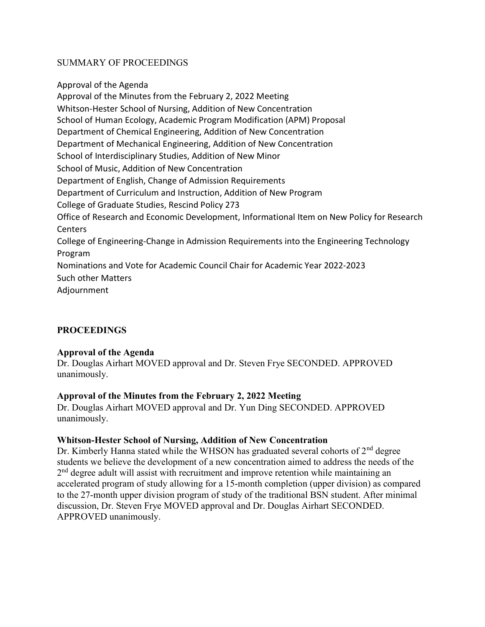# SUMMARY OF PROCEEDINGS

Approval of the Agenda Approval of the Minutes from the February 2, 2022 Meeting Whitson-Hester School of Nursing, Addition of New Concentration School of Human Ecology, Academic Program Modification (APM) Proposal Department of Chemical Engineering, Addition of New Concentration Department of Mechanical Engineering, Addition of New Concentration School of Interdisciplinary Studies, Addition of New Minor School of Music, Addition of New Concentration Department of English, Change of Admission Requirements Department of Curriculum and Instruction, Addition of New Program College of Graduate Studies, Rescind Policy 273 Office of Research and Economic Development, Informational Item on New Policy for Research **Centers** College of Engineering-Change in Admission Requirements into the Engineering Technology Program Nominations and Vote for Academic Council Chair for Academic Year 2022-2023 Such other Matters Adjournment

# **PROCEEDINGS**

### Approval of the Agenda

Dr. Douglas Airhart MOVED approval and Dr. Steven Frye SECONDED. APPROVED unanimously.

### Approval of the Minutes from the February 2, 2022 Meeting

Dr. Douglas Airhart MOVED approval and Dr. Yun Ding SECONDED. APPROVED unanimously.

### Whitson-Hester School of Nursing, Addition of New Concentration

Dr. Kimberly Hanna stated while the WHSON has graduated several cohorts of  $2<sup>nd</sup>$  degree students we believe the development of a new concentration aimed to address the needs of the 2<sup>nd</sup> degree adult will assist with recruitment and improve retention while maintaining an accelerated program of study allowing for a 15-month completion (upper division) as compared to the 27-month upper division program of study of the traditional BSN student. After minimal discussion, Dr. Steven Frye MOVED approval and Dr. Douglas Airhart SECONDED. APPROVED unanimously.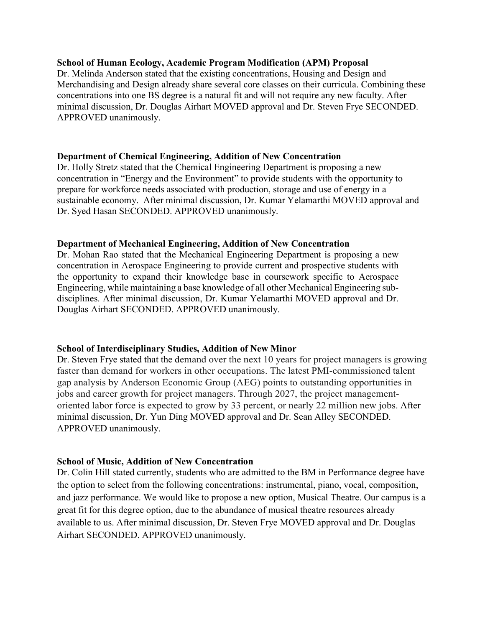### School of Human Ecology, Academic Program Modification (APM) Proposal

Dr. Melinda Anderson stated that the existing concentrations, Housing and Design and Merchandising and Design already share several core classes on their curricula. Combining these concentrations into one BS degree is a natural fit and will not require any new faculty. After minimal discussion, Dr. Douglas Airhart MOVED approval and Dr. Steven Frye SECONDED. APPROVED unanimously.

#### Department of Chemical Engineering, Addition of New Concentration

Dr. Holly Stretz stated that the Chemical Engineering Department is proposing a new concentration in "Energy and the Environment" to provide students with the opportunity to prepare for workforce needs associated with production, storage and use of energy in a sustainable economy. After minimal discussion, Dr. Kumar Yelamarthi MOVED approval and Dr. Syed Hasan SECONDED. APPROVED unanimously.

#### Department of Mechanical Engineering, Addition of New Concentration

Dr. Mohan Rao stated that the Mechanical Engineering Department is proposing a new concentration in Aerospace Engineering to provide current and prospective students with the opportunity to expand their knowledge base in coursework specific to Aerospace Engineering, while maintaining a base knowledge of all other Mechanical Engineering subdisciplines. After minimal discussion, Dr. Kumar Yelamarthi MOVED approval and Dr. Douglas Airhart SECONDED. APPROVED unanimously.

### School of Interdisciplinary Studies, Addition of New Minor

Dr. Steven Frye stated that the demand over the next 10 years for project managers is growing faster than demand for workers in other occupations. The latest PMI-commissioned talent gap analysis by Anderson Economic Group (AEG) points to outstanding opportunities in jobs and career growth for project managers. Through 2027, the project managementoriented labor force is expected to grow by 33 percent, or nearly 22 million new jobs. After minimal discussion, Dr. Yun Ding MOVED approval and Dr. Sean Alley SECONDED. APPROVED unanimously.

### School of Music, Addition of New Concentration

Dr. Colin Hill stated currently, students who are admitted to the BM in Performance degree have the option to select from the following concentrations: instrumental, piano, vocal, composition, and jazz performance. We would like to propose a new option, Musical Theatre. Our campus is a great fit for this degree option, due to the abundance of musical theatre resources already available to us. After minimal discussion, Dr. Steven Frye MOVED approval and Dr. Douglas Airhart SECONDED. APPROVED unanimously.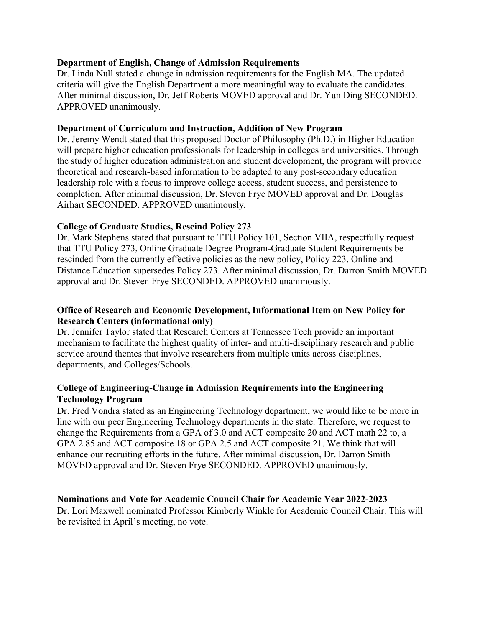## Department of English, Change of Admission Requirements

Dr. Linda Null stated a change in admission requirements for the English MA. The updated criteria will give the English Department a more meaningful way to evaluate the candidates. After minimal discussion, Dr. Jeff Roberts MOVED approval and Dr. Yun Ding SECONDED. APPROVED unanimously.

### Department of Curriculum and Instruction, Addition of New Program

Dr. Jeremy Wendt stated that this proposed Doctor of Philosophy (Ph.D.) in Higher Education will prepare higher education professionals for leadership in colleges and universities. Through the study of higher education administration and student development, the program will provide theoretical and research-based information to be adapted to any post-secondary education leadership role with a focus to improve college access, student success, and persistence to completion. After minimal discussion, Dr. Steven Frye MOVED approval and Dr. Douglas Airhart SECONDED. APPROVED unanimously.

## College of Graduate Studies, Rescind Policy 273

Dr. Mark Stephens stated that pursuant to TTU Policy 101, Section VIIA, respectfully request that TTU Policy 273, Online Graduate Degree Program-Graduate Student Requirements be rescinded from the currently effective policies as the new policy, Policy 223, Online and Distance Education supersedes Policy 273. After minimal discussion, Dr. Darron Smith MOVED approval and Dr. Steven Frye SECONDED. APPROVED unanimously.

## Office of Research and Economic Development, Informational Item on New Policy for Research Centers (informational only)

Dr. Jennifer Taylor stated that Research Centers at Tennessee Tech provide an important mechanism to facilitate the highest quality of inter- and multi-disciplinary research and public service around themes that involve researchers from multiple units across disciplines, departments, and Colleges/Schools.

# College of Engineering-Change in Admission Requirements into the Engineering Technology Program

Dr. Fred Vondra stated as an Engineering Technology department, we would like to be more in line with our peer Engineering Technology departments in the state. Therefore, we request to change the Requirements from a GPA of 3.0 and ACT composite 20 and ACT math 22 to, a GPA 2.85 and ACT composite 18 or GPA 2.5 and ACT composite 21. We think that will enhance our recruiting efforts in the future. After minimal discussion, Dr. Darron Smith MOVED approval and Dr. Steven Frye SECONDED. APPROVED unanimously.

### Nominations and Vote for Academic Council Chair for Academic Year 2022-2023

Dr. Lori Maxwell nominated Professor Kimberly Winkle for Academic Council Chair. This will be revisited in April's meeting, no vote.